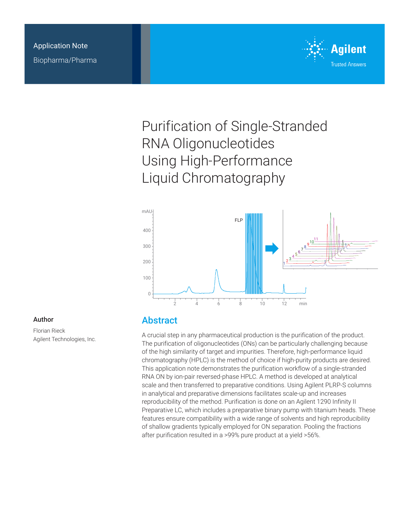

# Purification of Single-Stranded RNA Oligonucleotides Using High-Performance Liquid Chromatography



#### Author

Florian Rieck Agilent Technologies, Inc.

### Abstract

A crucial step in any pharmaceutical production is the purification of the product. The purification of oligonucleotides (ONs) can be particularly challenging because of the high similarity of target and impurities. Therefore, high-performance liquid chromatography (HPLC) is the method of choice if high-purity products are desired. This application note demonstrates the purification workflow of a single-stranded RNA ON by ion-pair reversed-phase HPLC. A method is developed at analytical scale and then transferred to preparative conditions. Using Agilent PLRP-S columns in analytical and preparative dimensions facilitates scale-up and increases reproducibility of the method. Purification is done on an Agilent 1290 Infinity II Preparative LC, which includes a preparative binary pump with titanium heads. These features ensure compatibility with a wide range of solvents and high reproducibility of shallow gradients typically employed for ON separation. Pooling the fractions after purification resulted in a >99% pure product at a yield >56%.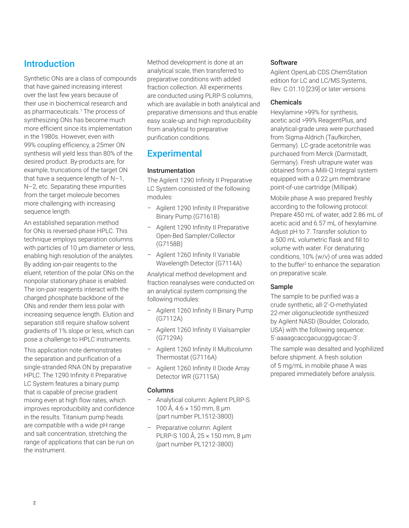## **Introduction**

Synthetic ONs are a class of compounds that have gained increasing interest over the last few years because of their use in biochemical research and as pharmaceuticals.1 The process of synthesizing ONs has become much more efficient since its implementation in the 1980s. However, even with 99% coupling efficiency, a 25mer ON synthesis will yield less than 80% of the desired product. By-products are, for example, truncations of the target ON that have a sequence length of N–1, N–2, etc. Separating these impurities from the target molecule becomes more challenging with increasing sequence length.

An established separation method for ONs is reversed-phase HPLC. This technique employs separation columns with particles of 10 µm diameter or less, enabling high resolution of the analytes. By adding ion-pair reagents to the eluent, retention of the polar ONs on the nonpolar stationary phase is enabled. The ion-pair reagents interact with the charged phosphate backbone of the ONs and render them less polar with increasing sequence length. Elution and separation still require shallow solvent gradients of 1% slope or less, which can pose a challenge to HPLC instruments.

This application note demonstrates the separation and purification of a single-stranded RNA ON by preparative HPLC. The 1290 Infinity II Preparative LC System features a binary pump that is capable of precise gradient mixing even at high flow rates, which improves reproducibility and confidence in the results. Titanium pump heads are compatible with a wide pH range and salt concentration, stretching the range of applications that can be run on the instrument.

Method development is done at an analytical scale, then transferred to preparative conditions with added fraction collection. All experiments are conducted using PLRP-S columns, which are available in both analytical and preparative dimensions and thus enable easy scale-up and high reproducibility from analytical to preparative purification conditions.

## **Experimental**

#### Instrumentation

The Agilent 1290 Infinity II Preparative LC System consisted of the following modules:

- Agilent 1290 Infinity II Preparative Binary Pump (G7161B)
- Agilent 1290 Infinity II Preparative Open-Bed Sampler/Collector (G7158B)
- Agilent 1260 Infinity II Variable Wavelength Detector (G7114A)

Analytical method development and fraction reanalyses were conducted on an analytical system comprising the following modules:

- Agilent 1260 Infinity II Binary Pump (G7112A)
- Agilent 1260 Infinity II Vialsampler (G7129A)
- Agilent 1260 Infinity II Multicolumn Thermostat (G7116A)
- Agilent 1260 Infinity II Diode Array Detector WR (G7115A)

#### Columns

- Analytical column: Agilent PLRP-S 100 Å, 4.6 × 150 mm, 8 µm (part number PL1512-3800)
- Preparative column: Agilent PLRP-S 100 Å, 25 × 150 mm, 8 µm (part number PL1212-3800)

#### **Software**

Agilent OpenLab CDS ChemStation edition for LC and LC/MS Systems, Rev. C.01.10 [239] or later versions

#### Chemicals

Hexylamine >99% for synthesis, acetic acid >99% ReagentPlus, and analytical-grade urea were purchased from Sigma-Aldrich (Taufkirchen, Germany). LC-grade acetonitrile was purchased from Merck (Darmstadt, Germany). Fresh ultrapure water was obtained from a Milli-Q Integral system equipped with a 0.22 µm membrane point-of-use cartridge (Millipak).

Mobile phase A was prepared freshly according to the following protocol: Prepare 450 mL of water, add 2.86 mL of acetic acid and 6.57 mL of hexylamine. Adjust pH to 7. Transfer solution to a 500 mL volumetric flask and fill to volume with water. For denaturing conditions, 10% (w/v) of urea was added to the buffer2 to enhance the separation on preparative scale.

#### Sample

The sample to be purified was a crude synthetic, all-2'-O-methylated 22-mer oligonucleotide synthesized by Agilent NASD (Boulder, Colorado, USA) with the following sequence: 5'-aaaagcaccgacucggugccac-3'.

The sample was desalted and lyophilized before shipment. A fresh solution of 5 mg/mL in mobile phase A was prepared immediately before analysis.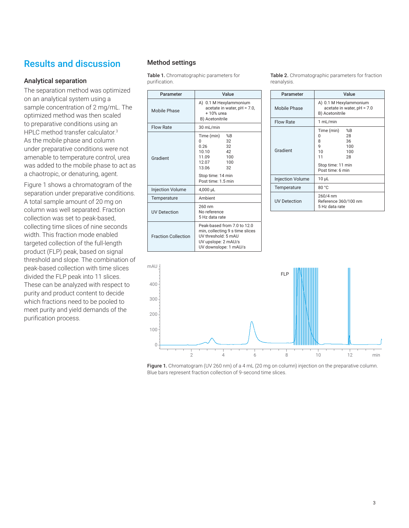## Results and discussion

#### Analytical separation

The separation method was optimized on an analytical system using a sample concentration of 2 mg/mL. The optimized method was then scaled to preparative conditions using an HPLC method transfer calculator.<sup>3</sup> As the mobile phase and column under preparative conditions were not amenable to temperature control, urea was added to the mobile phase to act as a chaotropic, or denaturing, agent.

[Figure 1](#page-2-0) shows a chromatogram of the separation under preparative conditions. A total sample amount of 20 mg on column was well separated. Fraction collection was set to peak-based, collecting time slices of nine seconds width. This fraction mode enabled targeted collection of the full-length product (FLP) peak, based on signal threshold and slope. The combination of peak-based collection with time slices divided the FLP peak into 11 slices. These can be analyzed with respect to purity and product content to decide which fractions need to be pooled to meet purity and yield demands of the purification process.

#### Method settings

Table 1. Chromatographic parameters for purification.

| Parameter                  | Value                                                                                                                                              |
|----------------------------|----------------------------------------------------------------------------------------------------------------------------------------------------|
| Mobile Phase               | A) 0.1 M Hexylammonium<br>acetate in water, $pH = 7.0$ ,<br>+ 10% urea<br>B) Acetonitrile                                                          |
| <b>Flow Rate</b>           | 30 mL/min                                                                                                                                          |
| Gradient                   | Time (min)<br>%B<br>32<br>U<br>32<br>0.26<br>10.10<br>42<br>11.09<br>100<br>12.07<br>100<br>13.06<br>32<br>Stop time: 14 min<br>Post time: 1.5 min |
| <b>Injection Volume</b>    | 4,000 µL                                                                                                                                           |
| Temperature                | Ambient                                                                                                                                            |
| <b>UV Detection</b>        | 260 nm<br>No reference<br>5 Hz data rate                                                                                                           |
| <b>Fraction Collection</b> | Peak-based from 7.0 to 12.0<br>min, collecting 9 s time slices<br>UV threshold: 5 mAU<br>UV upslope: 2 mAU/s<br>UV downslope: 1 mAU/s              |

<span id="page-2-1"></span>Table 2. Chromatographic parameters for fraction reanalysis.

| Parameter               | Value                                                                                                                |
|-------------------------|----------------------------------------------------------------------------------------------------------------------|
| Mobile Phase            | A) 0.1 M Hexylammonium<br>acetate in water, pH = 7.0<br>B) Acetonitrile                                              |
| <b>Flow Rate</b>        | 1 mL/min                                                                                                             |
| Gradient                | Time (min)<br>%B<br>28<br>U<br>36<br>8<br>9<br>100<br>10<br>100<br>11<br>28<br>Stop time: 11 min<br>Post time: 6 min |
| <b>Injection Volume</b> | $10 \mu L$                                                                                                           |
| Temperature             | 80 °C                                                                                                                |
| <b>UV Detection</b>     | 260/4 nm<br>Reference 360/100 nm<br>5 Hz data rate                                                                   |



<span id="page-2-0"></span>Figure 1. Chromatogram (UV 260 nm) of a 4 mL (20 mg on column) injection on the preparative column. Blue bars represent fraction collection of 9-second time slices.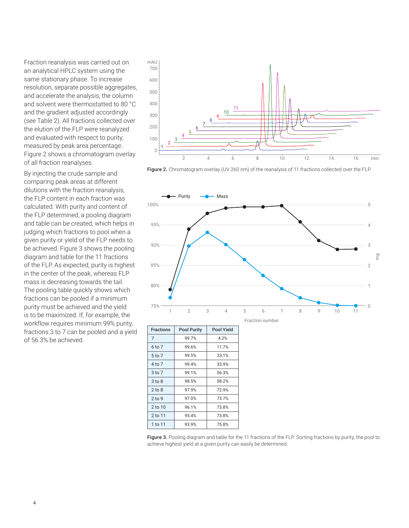Fraction reanalysis was carried out on an analytical HPLC system using the same stationary phase. To increase resolution, separate possible aggregates, and accelerate the analysis, the column and solvent were thermostatted to 80 °C and the gradient adjusted accordingly (see [Table 2\)](#page-2-1). All fractions collected over the elution of the FLP were reanalyzed and evaluated with respect to purity, measured by peak area percentage. [Figure 2](#page-3-0) shows a chromatogram overlay of all fraction reanalyses.

By injecting the crude sample and comparing peak areas at different dilutions with the fraction reanalysis, the FLP content in each fraction was calculated. With purity and content of the FLP determined, a pooling diagram and table can be created, which helps in judging which fractions to pool when a given purity or yield of the FLP needs to be achieved. Figure 3 shows the pooling diagram and table for the 11 fractions of the FLP. As expected, purity is highest in the center of the peak, whereas FLP mass is decreasing towards the tail. The pooling table quickly shows which fractions can be pooled if a minimum purity must be achieved and the yield is to be maximized. If, for example, the workflow requires minimum 99% purity, fractions 3 to 7 can be pooled and a yield of 56.3% be achieved.



<span id="page-3-0"></span>Figure 2. Chromatogram overlay (UV 260 nm) of the reanalysis of 11 fractions collected over the FLP.



Figure 3. Pooling diagram and table for the 11 fractions of the FLP. Sorting fractions by purity, the pool to achieve highest yield at a given purity can easily be determined.